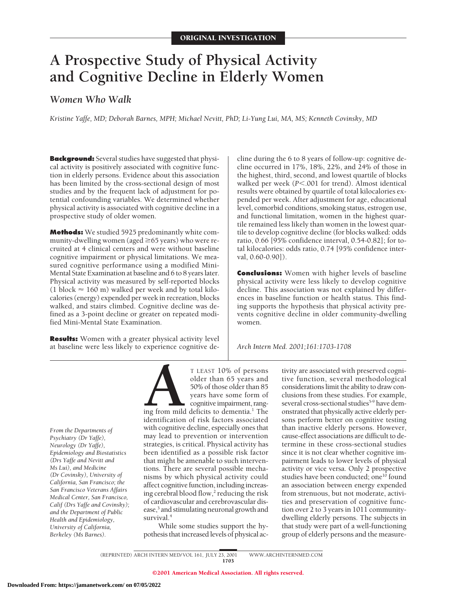# **A Prospective Study of Physical Activity and Cognitive Decline in Elderly Women**

# *Women Who Walk*

*Kristine Yaffe, MD; Deborah Barnes, MPH; Michael Nevitt, PhD; Li-Yung Lui, MA, MS; Kenneth Covinsky, MD*

**Background:** Several studies have suggested that physical activity is positively associated with cognitive function in elderly persons. Evidence about this association has been limited by the cross-sectional design of most studies and by the frequent lack of adjustment for potential confounding variables. We determined whether physical activity is associated with cognitive decline in a prospective study of older women.

**Methods:** We studied 5925 predominantly white community-dwelling women (aged  $\geq$  65 years) who were recruited at 4 clinical centers and were without baseline cognitive impairment or physical limitations. We measured cognitive performance using a modified Mini-Mental State Examination at baseline and 6 to 8 years later. Physical activity was measured by self-reported blocks (1 block  $\approx$  160 m) walked per week and by total kilocalories (energy) expended per week in recreation, blocks walked, and stairs climbed. Cognitive decline was defined as a 3-point decline or greater on repeated modified Mini-Mental State Examination.

**Results:** Women with a greater physical activity level at baseline were less likely to experience cognitive decline during the 6 to 8 years of follow-up: cognitive decline occurred in 17%, 18%, 22%, and 24% of those in the highest, third, second, and lowest quartile of blocks walked per week ( $P$ <.001 for trend). Almost identical results were obtained by quartile of total kilocalories expended per week. After adjustment for age, educational level, comorbid conditions, smoking status, estrogen use, and functional limitation, women in the highest quartile remained less likely than women in the lowest quartile to develop cognitive decline (for blocks walked: odds ratio, 0.66 [95% confidence interval, 0.54-0.82]; for total kilocalories: odds ratio, 0.74 [95% confidence interval, 0.60-0.90]).

**Conclusions:** Women with higher levels of baseline physical activity were less likely to develop cognitive decline. This association was not explained by differences in baseline function or health status. This finding supports the hypothesis that physical activity prevents cognitive decline in older community-dwelling women.

*Arch Intern Med. 2001;161:1703-1708*

*From the Departments of Psychiatry (Dr Yaffe), Neurology (Dr Yaffe), Epidemiology and Biostatistics (Drs Yaffe and Nevitt and Ms Lui), and Medicine (Dr Covinsky), University of California, San Francisco; the San Francisco Veterans Affairs Medical Center, San Francisco, Calif (Drs Yaffe and Covinsky); and the Department of Public Health and Epidemiology, University of California, Berkeley (Ms Barnes).*

T LEAST 10% of persons<br>
older than 65 years and<br>
50% of those older than 85<br>
years have some form of<br>
cognitive impairment, rang-<br>
identification of risk factors associated older than 65 years and 50% of those older than 85 years have some form of cognitive impairment, rang-

ing from mild deficits to dementia.<sup>1</sup> The identification of risk factors associated with cognitive decline, especially ones that may lead to prevention or intervention strategies, is critical. Physical activity has been identified as a possible risk factor that might be amenable to such interventions. There are several possible mechanisms by which physical activity could affect cognitive function, including increasing cerebral blood flow, $\frac{2}{3}$  reducing the risk of cardiovascular and cerebrovascular disease,<sup>3</sup> and stimulating neuronal growth and survival.<sup>4</sup>

While some studies support the hypothesis that increased levels of physical activity are associated with preserved cognitive function, several methodological considerations limit the ability to draw conclusions from these studies. For example, several cross-sectional studies<sup>5-9</sup> have demonstrated that physically active elderly persons perform better on cognitive testing than inactive elderly persons. However, cause-effect associations are difficult to determine in these cross-sectional studies since it is not clear whether cognitive impairment leads to lower levels of physical activity or vice versa. Only 2 prospective studies have been conducted; one<sup>10</sup> found an association between energy expended from strenuous, but not moderate, activities and preservation of cognitive function over 2 to 3 years in 1011 communitydwelling elderly persons. The subjects in that study were part of a well-functioning group of elderly persons and the measure-

(REPRINTED) ARCH INTERN MED/ VOL 161, JULY 23, 2001 WWW.ARCHINTERNMED.COM

1703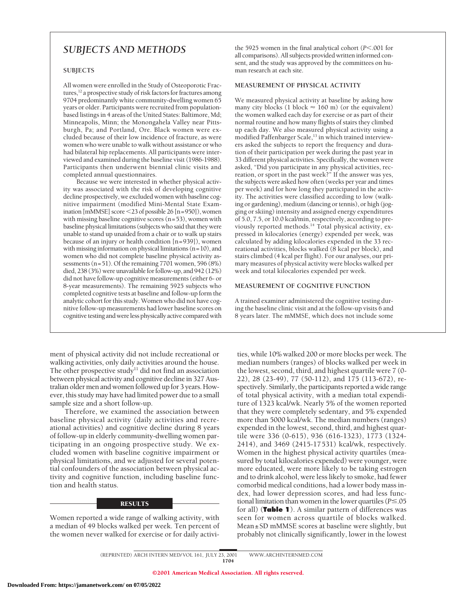# *SUBJECTS AND METHODS*

#### **SUBJECTS**

All women were enrolled in the Study of Osteoporotic Fractures, $12$  a prospective study of risk factors for fractures among 9704 predominantly white community-dwelling women 65 years or older. Participants were recruited from populationbased listings in 4 areas of the United States: Baltimore, Md; Minneapolis, Minn; the Monongahela Valley near Pittsburgh, Pa; and Portland, Ore. Black women were excluded because of their low incidence of fracture, as were women who were unable to walk without assistance or who had bilateral hip replacements. All participants were interviewed and examined during the baseline visit (1986-1988). Participants then underwent biennial clinic visits and completed annual questionnaires.

Because we were interested in whether physical activity was associated with the risk of developing cognitive decline prospectively, we excluded women with baseline cognitive impairment (modified Mini-Mental State Examination [mMMSE] score  $\leq$  23 of possible 26 [n=950]), women with missing baseline cognitive scores (n=53), women with baseline physical limitations (subjects who said that they were unable to stand up unaided from a chair or to walk up stairs because of an injury or health condition [n=939]), women with missing information on physical limitations (n=10), and women who did not complete baseline physical activity assessments (n=51). Of the remaining 7701 women, 596 (8%) died, 238 (3%) were unavailable for follow-up, and 942 (12%) did not have follow-up cognitive measurements (either 6- or 8-year measurements). The remaining 5925 subjects who completed cognitive tests at baseline and follow-up form the analytic cohort for this study. Women who did not have cognitive follow-up measurements had lower baseline scores on cognitive testing and were less physically active compared with

ment of physical activity did not include recreational or walking activities, only daily activities around the house. The other prospective study<sup>11</sup> did not find an association between physical activity and cognitive decline in 327 Australian older men and women followed up for 3 years. However, this study may have had limited power due to a small sample size and a short follow-up.

Therefore, we examined the association between baseline physical activity (daily activities and recreational activities) and cognitive decline during 8 years of follow-up in elderly community-dwelling women participating in an ongoing prospective study. We excluded women with baseline cognitive impairment or physical limitations, and we adjusted for several potential confounders of the association between physical activity and cognitive function, including baseline function and health status.

#### **RESULTS**

Women reported a wide range of walking activity, with a median of 49 blocks walked per week. Ten percent of the women never walked for exercise or for daily activi-

the 5925 women in the final analytical cohort (*P*<.001 for all comparisons). All subjects provided written informed consent, and the study was approved by the committees on human research at each site.

# **MEASUREMENT OF PHYSICAL ACTIVITY**

We measured physical activity at baseline by asking how many city blocks (1 block  $\approx 160$  m) (or the equivalent) the women walked each day for exercise or as part of their normal routine and how many flights of stairs they climbed up each day. We also measured physical activity using a modified Paffenbarger Scale,<sup>13</sup> in which trained interviewers asked the subjects to report the frequency and duration of their participation per week during the past year in 33 different physical activities. Specifically, the women were asked, "Did you participate in any physical activities, recreation, or sport in the past week?" If the answer was yes, the subjects were asked how often (weeks per year and times per week) and for how long they participated in the activity. The activities were classified according to low (walking or gardening), medium (dancing or tennis), or high (jogging or skiing) intensity and assigned energy expenditures of 5.0, 7.5, or 10.0 kcal/min, respectively, according to previously reported methods.14 Total physical activity, expressed in kilocalories (energy) expended per week, was calculated by adding kilocalories expended in the 33 recreational activities, blocks walked (8 kcal per block), and stairs climbed (4 kcal per flight). For our analyses, our primary measures of physical activity were blocks walked per week and total kilocalories expended per week.

## **MEASUREMENT OF COGNITIVE FUNCTION**

A trained examiner administered the cognitive testing during the baseline clinic visit and at the follow-up visits 6 and 8 years later. The mMMSE, which does not include some

ties, while 10% walked 200 or more blocks per week. The median numbers (ranges) of blocks walked per week in the lowest, second, third, and highest quartile were 7 (0- 22), 28 (23-49), 77 (50-112), and 175 (113-672), respectively. Similarly, the participants reported a wide range of total physical activity, with a median total expenditure of 1323 kcal/wk. Nearly 5% of the women reported that they were completely sedentary, and 5% expended more than 5000 kcal/wk. The median numbers (ranges) expended in the lowest, second, third, and highest quartile were 336 (0-615), 936 (616-1323), 1773 (1324- 2414), and 3469 (2415-17531) kcal/wk, respectively. Women in the highest physical activity quartiles (measured by total kilocalories expended) were younger, were more educated, were more likely to be taking estrogen and to drink alcohol, were less likely to smoke, had fewer comorbid medical conditions, had a lower body mass index, had lower depression scores, and had less functional limitation than women in the lower quartiles ( $P \le 0.05$ ) for all) (**Table 1**). A similar pattern of differences was seen for women across quartile of blocks walked. Mean±SD mMMSE scores at baseline were slightly, but probably not clinically significantly, lower in the lowest

(REPRINTED) ARCH INTERN MED/ VOL 161, JULY 23, 2001 WWW.ARCHINTERNMED.COM 1704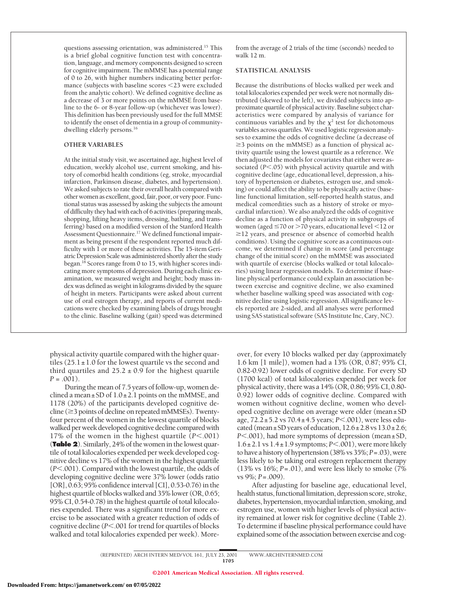questions assessing orientation, was administered.15 This is a brief global cognitive function test with concentration, language, and memory components designed to screen for cognitive impairment. The mMMSE has a potential range of 0 to 26, with higher numbers indicating better performance (subjects with baseline scores <23 were excluded from the analytic cohort). We defined cognitive decline as a decrease of 3 or more points on the mMMSE from baseline to the 6- or 8-year follow-up (whichever was lower). This definition has been previously used for the full MMSE to identify the onset of dementia in a group of communitydwelling elderly persons.<sup>16</sup>

#### **OTHER VARIABLES**

At the initial study visit, we ascertained age, highest level of education, weekly alcohol use, current smoking, and history of comorbid health conditions (eg, stroke, myocardial infarction, Parkinson disease, diabetes, and hypertension). We asked subjects to rate their overall health compared with other women as excellent, good, fair, poor, or very poor. Functional status was assessed by asking the subjects the amount of difficulty they had with each of 6 activities (preparing meals, shopping, lifting heavy items, dressing, bathing, and transferring) based on a modified version of the Stanford Health Assessment Questionnaire.<sup>17</sup> We defined functional impairment as being present if the respondent reported much difficulty with 1 or more of these activities. The 15-item Geriatric Depression Scale was administered shortly after the study began.18 Scores range from 0 to 15, with higher scores indicating more symptoms of depression. During each clinic examination, we measured weight and height; body mass index was defined as weight in kilograms divided by the square of height in meters. Participants were asked about current use of oral estrogen therapy, and reports of current medications were checked by examining labels of drugs brought to the clinic. Baseline walking (gait) speed was determined

physical activity quartile compared with the higher quartiles  $(25.1 \pm 1.0$  for the lowest quartile vs the second and third quartiles and  $25.2 \pm 0.9$  for the highest quartile  $P = .001$ ).

During the mean of 7.5 years of follow-up, women declined a mean $\pm$ SD of 1.0 $\pm$ 2.1 points on the mMMSE, and 1178 (20%) of the participants developed cognitive de $cline (23 points of decline on repeated mMMSEs). Twenty$ four percent of the women in the lowest quartile of blocks walked per week developed cognitive decline compared with 17% of the women in the highest quartile  $(P<.001)$ (**Table 2**). Similarly, 24% of the women in the lowest quartile of total kilocalories expended per week developed cognitive decline vs 17% of the women in the highest quartile  $(P<.001)$ . Compared with the lowest quartile, the odds of developing cognitive decline were 37% lower (odds ratio [OR], 0.63; 95% confidence interval [CI], 0.53-0.76) in the highest quartile of blocks walked and 35% lower (OR, 0.65; 95% CI, 0.54-0.78) in the highest quartile of total kilocalories expended. There was a significant trend for more exercise to be associated with a greater reduction of odds of cognitive decline (*P*<.001 for trend for quartiles of blocks walked and total kilocalories expended per week). Morefrom the average of 2 trials of the time (seconds) needed to walk 12 m.

## **STATISTICAL ANALYSIS**

Because the distributions of blocks walked per week and total kilocalories expended per week were not normally distributed (skewed to the left), we divided subjects into approximate quartile of physical activity. Baseline subject characteristics were compared by analysis of variance for continuous variables and by the  $\chi^2$  test for dichotomous variables across quartiles. We used logistic regression analyses to examine the odds of cognitive decline (a decrease of  $\geq$ 3 points on the mMMSE) as a function of physical activity quartile using the lowest quartile as a reference. We then adjusted the models for covariates that either were associated (*P*<.05) with physical activity quartile and with cognitive decline (age, educational level, depression, a history of hypertension or diabetes, estrogen use, and smoking) or could affect the ability to be physically active (baseline functional limitation, self-reported health status, and medical comordities such as a history of stroke or myocardial infarction). We also analyzed the odds of cognitive decline as a function of physical activity in subgroups of women (aged  $\leq$ 70 or  $>$ 70 years, educational level  $<$ 12 or  $\geq$ 12 years, and presence or absence of comorbid health conditions). Using the cognitive score as a continuous outcome, we determined if change in score (and percentage change of the initial score) on the mMMSE was associated with quartile of exercise (blocks walked or total kilocalories) using linear regression models. To determine if baseline physical performance could explain an association between exercise and cognitive decline, we also examined whether baseline walking speed was associated with cognitive decline using logistic regression. All significance levels reported are 2-sided, and all analyses were performed using SAS statistical software (SAS Institute Inc, Cary, NC).

over, for every 10 blocks walked per day (approximately 1.6 km [1 mile]), women had a 13% (OR, 0.87; 95% CI, 0.82-0.92) lower odds of cognitive decline. For every SD (1700 kcal) of total kilocalories expended per week for physical activity, there was a 14% (OR, 0.86; 95% CI, 0.80- 0.92) lower odds of cognitive decline. Compared with women without cognitive decline, women who developed cognitive decline on average were older (mean±SD age, 72.2±5.2 vs 70.4±4.5 years; *P*<.001), were less educated (mean $\pm$ SD years of education,  $12.6\pm$  2.8 vs  $13.0\pm$  2.6; *P*<.001), had more symptoms of depression (mean $\pm$ SD,  $1.6\pm2.1$  vs  $1.4\pm1.9$  symptoms;  $P<.001$ ), were more likely to have a history of hypertension (38% vs 35%; *P*=.03), were less likely to be taking oral estrogen replacement therapy (13% vs 16%; *P*=.01), and were less likely to smoke (7% vs 9%; *P*=.009).

After adjusting for baseline age, educational level, health status, functional limitation, depression score, stroke, diabetes, hypertension, myocardial infarction, smoking, and estrogen use, women with higher levels of physical activity remained at lower risk for cognitive decline (Table 2). To determine if baseline physical performance could have explained some of the association between exercise and cog-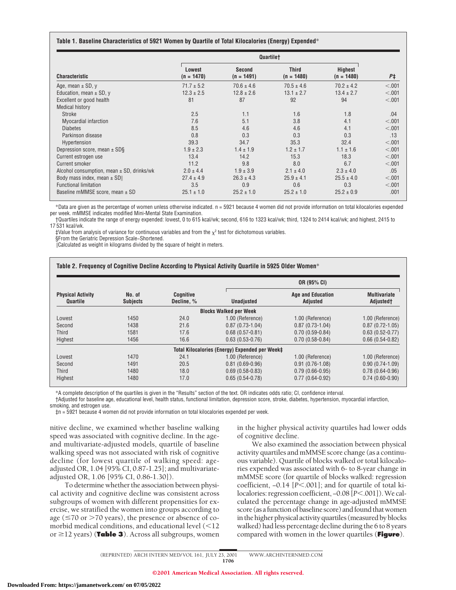#### **Table 1. Baseline Characteristics of 5921 Women by Quartile of Total Kilocalories (Energy) Expended**\*

|                                               | Quartilet                     |                               |                              |                         |         |
|-----------------------------------------------|-------------------------------|-------------------------------|------------------------------|-------------------------|---------|
| <b>Characteristic</b>                         | <b>Lowest</b><br>$(n = 1470)$ | <b>Second</b><br>$(n = 1491)$ | <b>Third</b><br>$(n = 1480)$ | Highest<br>$(n = 1480)$ | $P+$    |
| Age, mean $\pm$ SD, y                         | $71.7 \pm 5.2$                | $70.6 \pm 4.6$                | $70.5 \pm 4.6$               | $70.2 \pm 4.2$          | < .001  |
| Education, mean $\pm$ SD, y                   | $12.3 \pm 2.5$                | $12.8 \pm 2.6$                | $13.1 \pm 2.7$               | $13.4 \pm 2.7$          | < .001  |
| Excellent or good health                      | 81                            | 87                            | 92                           | 94                      | < .001  |
| <b>Medical history</b>                        |                               |                               |                              |                         |         |
| <b>Stroke</b>                                 | 2.5                           | 1.1                           | 1.6                          | 1.8                     | .04     |
| <b>Myocardial infarction</b>                  | 7.6                           | 5.1                           | 3.8                          | 4.1                     | < .001  |
| <b>Diabetes</b>                               | 8.5                           | 4.6                           | 4.6                          | 4.1                     | < 0.001 |
| Parkinson disease                             | 0.8                           | 0.3                           | 0.3                          | 0.3                     | .13     |
| Hypertension                                  | 39.3                          | 34.7                          | 35.3                         | 32.4                    | < .001  |
| Depression score, mean $\pm$ SDS              | $1.9 \pm 2.3$                 | $1.4 \pm 1.9$                 | $1.2 \pm 1.7$                | $1.1 \pm 1.6$           | < .001  |
| Current estrogen use                          | 13.4                          | 14.2                          | 15.3                         | 18.3                    | < 0.001 |
| <b>Current smoker</b>                         | 11.2                          | 9.8                           | 8.0                          | 6.7                     | < 0.001 |
| Alcohol consumption, mean $\pm$ SD, drinks/wk | $2.0 \pm 4.4$                 | $1.9 \pm 3.9$                 | $2.1 \pm 4.0$                | $2.3 \pm 4.0$           | .05     |
| Body mass index, mean $\pm$ SD                | $27.4 \pm 4.9$                | $26.3 \pm 4.3$                | $25.9 \pm 4.1$               | $25.5 \pm 4.0$          | < .001  |
| <b>Functional limitation</b>                  | 3.5                           | 0.9                           | 0.6                          | 0.3                     | < 0.001 |
| Baseline mMMSE score, mean ± SD               | $25.1 \pm 1.0$                | $25.2 \pm 1.0$                | $25.2 \pm 1.0$               | $25.2 \pm 0.9$          | .001    |

\*Data are given as the percentage of women unless otherwise indicated. n = 5921 because 4 women did not provide information on total kilocalories expended per week. mMMSE indicates modified Mini-Mental State Examination.

†Quartiles indicate the range of energy expended: lowest, 0 to 615 kcal/wk; second, 616 to 1323 kcal/wk; third, 1324 to 2414 kcal/wk; and highest, 2415 to 17 531 kcal/wk.

 $\pm$ Value from analysis of variance for continuous variables and from the  $\chi^2$  test for dichotomous variables.

§From the Geriatric Depression Scale–Shortened.

||Calculated as weight in kilograms divided by the square of height in meters.

|                                      |                           | Coanitive<br>Decline, % | OR (95% CI)                                    |                                      |                                              |
|--------------------------------------|---------------------------|-------------------------|------------------------------------------------|--------------------------------------|----------------------------------------------|
| <b>Physical Activity</b><br>Quartile | No. of<br><b>Subjects</b> |                         | <b>Unadjusted</b>                              | <b>Age and Education</b><br>Adjusted | <b>Multivariate</b><br>Adjusted <sup>+</sup> |
|                                      |                           |                         | <b>Blocks Walked per Week</b>                  |                                      |                                              |
| Lowest                               | 1450                      | 24.0                    | 1.00 (Reference)                               | 1.00 (Reference)                     | 1.00 (Reference)                             |
| Second                               | 1438                      | 21.6                    | $0.87(0.73 - 1.04)$                            | $0.87(0.73-1.04)$                    | $0.87(0.72 - 1.05)$                          |
| Third                                | 1581                      | 17.6                    | $0.68(0.57 - 0.81)$                            | $0.70(0.59-0.84)$                    | $0.63(0.52 - 0.77)$                          |
| Highest                              | 1456                      | 16.6                    | $0.63(0.53-0.76)$                              | $0.70(0.58-0.84)$                    | $0.66(0.54-0.82)$                            |
|                                      |                           |                         | Total Kilocalories (Energy) Expended per Week‡ |                                      |                                              |
| Lowest                               | 1470                      | 24.1                    | 1.00 (Reference)                               | 1.00 (Reference)                     | 1.00 (Reference)                             |
| Second                               | 1491                      | 20.5                    | $0.81(0.69-0.96)$                              | $0.91(0.76-1.08)$                    | $0.90(0.74-1.09)$                            |
| <b>Third</b>                         | 1480                      | 18.0                    | $0.69(0.58-0.83)$                              | $0.79(0.66-0.95)$                    | $0.78(0.64-0.96)$                            |
| Highest                              | 1480                      | 17.0                    | $0.65(0.54-0.78)$                              | $0.77(0.64-0.92)$                    | $0.74(0.60-0.90)$                            |

\*A complete description of the quartiles is given in the "Results" section of the text. OR indicates odds ratio; CI, confidence interval.

†Adjusted for baseline age, educational level, health status, functional limitation, depression score, stroke, diabetes, hypertension, myocardial infarction,

smoking, and estrogen use.

‡n = 5921 because 4 women did not provide information on total kilocalories expended per week.

nitive decline, we examined whether baseline walking speed was associated with cognitive decline. In the ageand multivariate-adjusted models, quartile of baseline walking speed was not associated with risk of cognitive decline (for lowest quartile of walking speed: ageadjusted OR, 1.04 [95% CI, 0.87-1.25]; and multivariateadjusted OR, 1.06 [95% CI, 0.86-1.30]).

To determine whether the association between physical activity and cognitive decline was consistent across subgroups of women with different propensities for exercise, we stratified the women into groups according to age ( $\leq$ 70 or  $>$ 70 years), the presence or absence of comorbid medical conditions, and educational level  $\leq 12$ or  $\geq$ 12 years) (**Table 3**). Across all subgroups, women in the higher physical activity quartiles had lower odds of cognitive decline.

We also examined the association between physical activity quartiles and mMMSE score change (as a continuous variable). Quartile of blocks walked or total kilocalories expended was associated with 6- to 8-year change in mMMSE score (for quartile of blocks walked: regression coefficient, -0.14 [*P*<.001]; and for quartile of total kilocalories: regression coefficient, -0.08 [*P*<.001]). We calculated the percentage change in age-adjusted mMMSE score (as a function of baseline score) and found that women in the higher physical activity quartiles (measured by blocks walked) had less percentage decline during the 6 to 8 years compared with women in the lower quartiles (**Figure**).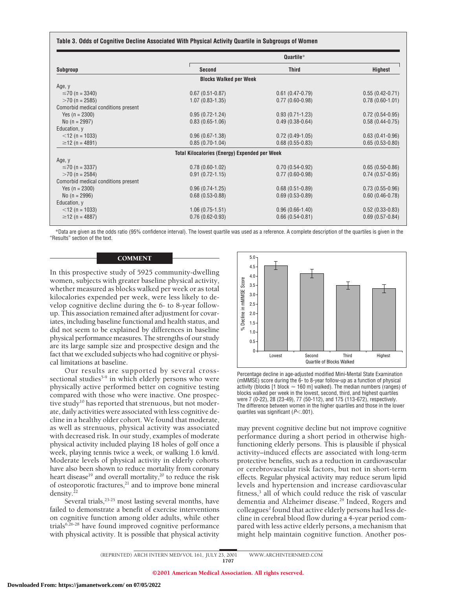#### **Table 3. Odds of Cognitive Decline Associated With Physical Activity Quartile in Subgroups of Women**

|                                     | Quartile*                                            |                     |                     |  |
|-------------------------------------|------------------------------------------------------|---------------------|---------------------|--|
| Subgroup                            | Second                                               | <b>Third</b>        | Highest             |  |
|                                     | <b>Blocks Walked per Week</b>                        |                     |                     |  |
| Age, y                              |                                                      |                     |                     |  |
| $\leq$ 70 (n = 3340)                | $0.67(0.51-0.87)$                                    | $0.61(0.47-0.79)$   | $0.55(0.42 - 0.71)$ |  |
| $>70$ (n = 2585)                    | $1.07(0.83 - 1.35)$                                  | $0.77(0.60-0.98)$   | $0.78(0.60-1.01)$   |  |
| Comorbid medical conditions present |                                                      |                     |                     |  |
| Yes $(n = 2300)$                    | $0.95(0.72 - 1.24)$                                  | $0.93(0.71-1.23)$   | $0.72(0.54-0.95)$   |  |
| No $(n = 2997)$                     | $0.83(0.65-1.06)$                                    | $0.49(0.38-0.64)$   | $0.58(0.44 - 0.75)$ |  |
| Education, y                        |                                                      |                     |                     |  |
| $<$ 12 (n = 1033)                   | $0.96(0.67 - 1.38)$                                  | $0.72(0.49-1.05)$   | $0.63(0.41-0.96)$   |  |
| $\geq$ 12 (n = 4891)                | $0.85(0.70-1.04)$                                    | $0.68(0.55-0.83)$   | $0.65(0.53-0.80)$   |  |
|                                     | <b>Total Kilocalories (Energy) Expended per Week</b> |                     |                     |  |
| Age, y                              |                                                      |                     |                     |  |
| $\leq$ 70 (n = 3337)                | $0.78(0.60-1.02)$                                    | $0.70(0.54-0.92)$   | $0.65(0.50-0.86)$   |  |
| $>70$ (n = 2584)                    | $0.91(0.72 - 1.15)$                                  | $0.77(0.60-0.98)$   | $0.74(0.57-0.95)$   |  |
| Comorbid medical conditions present |                                                      |                     |                     |  |
| Yes $(n = 2300)$                    | $0.96(0.74-1.25)$                                    | $0.68(0.51-0.89)$   | $0.73(0.55-0.96)$   |  |
| No $(n = 2996)$                     | $0.68(0.53 - 0.88)$                                  | $0.69(0.53 - 0.89)$ | $0.60(0.46 - 0.78)$ |  |
| Education, y                        |                                                      |                     |                     |  |
| $<$ 12 (n = 1033)                   | $1.06(0.75-1.51)$                                    | $0.96(0.66-1.40)$   | $0.52(0.33-0.83)$   |  |
| $\geq$ 12 (n = 4887)                | $0.76(0.62-0.93)$                                    | $0.66(0.54 - 0.81)$ | $0.69(0.57-0.84)$   |  |
|                                     |                                                      |                     |                     |  |

\*Data are given as the odds ratio (95% confidence interval). The lowest quartile was used as a reference. A complete description of the quartiles is given in the "Results" section of the text.

# **COMMENT**

In this prospective study of 5925 community-dwelling women, subjects with greater baseline physical activity, whether measured as blocks walked per week or as total kilocalories expended per week, were less likely to develop cognitive decline during the 6- to 8-year followup. This association remained after adjustment for covariates, including baseline functional and health status, and did not seem to be explained by differences in baseline physical performance measures. The strengths of our study are its large sample size and prospective design and the fact that we excluded subjects who had cognitive or physical limitations at baseline.

Our results are supported by several crosssectional studies<sup>5-9</sup> in which elderly persons who were physically active performed better on cognitive testing compared with those who were inactive. One prospective study<sup>10</sup> has reported that strenuous, but not moderate, daily activities were associated with less cognitive decline in a healthy older cohort. We found that moderate, as well as strenuous, physical activity was associated with decreased risk. In our study, examples of moderate physical activity included playing 18 holes of golf once a week, playing tennis twice a week, or walking 1.6 km/d. Moderate levels of physical activity in elderly cohorts have also been shown to reduce mortality from coronary heart disease<sup>19</sup> and overall mortality,<sup>20</sup> to reduce the risk of osteoporotic fractures, $21$  and to improve bone mineral density.<sup>22</sup>

Several trials, $^{23-25}$  most lasting several months, have failed to demonstrate a benefit of exercise interventions on cognitive function among older adults, while other trials<sup>6,26-28</sup> have found improved cognitive performance with physical activity. It is possible that physical activity



Percentage decline in age-adjusted modified Mini-Mental State Examination (mMMSE) score during the 6- to 8-year follow-up as a function of physical activity (blocks [1 block  $\approx$  160 m] walked). The median numbers (ranges) of blocks walked per week in the lowest, second, third, and highest quartiles were 7 (0-22), 28 (23-49), 77 (50-112), and 175 (113-672), respectively. The difference between women in the higher quartiles and those in the lower quartiles was significant ( $P$ <.001).

may prevent cognitive decline but not improve cognitive performance during a short period in otherwise highfunctioning elderly persons. This is plausible if physical activity–induced effects are associated with long-term protective benefits, such as a reduction in cardiovascular or cerebrovascular risk factors, but not in short-term effects. Regular physical activity may reduce serum lipid levels and hypertension and increase cardiovascular fitness,<sup>3</sup> all of which could reduce the risk of vascular dementia and Alzheimer disease.<sup>29</sup> Indeed, Rogers and colleagues<sup>2</sup> found that active elderly persons had less decline in cerebral blood flow during a 4-year period compared with less active elderly persons, a mechanism that might help maintain cognitive function. Another pos-

(REPRINTED) ARCH INTERN MED/ VOL 161, JULY 23, 2001 WWW.ARCHINTERNMED.COM 1707